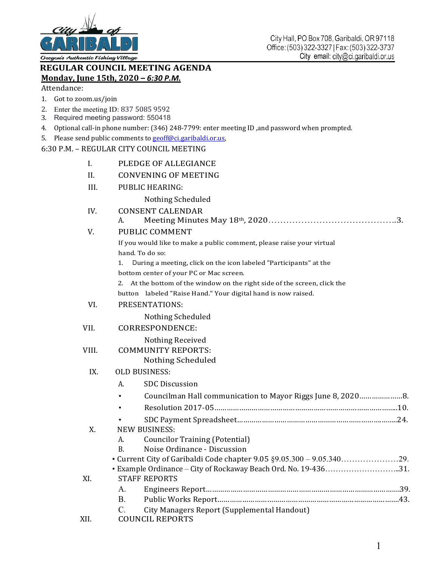

Oregorís Authentic Fishing Village

## **REGULAR COUNCIL MEETING AGENDA Monday, June 15th, 2020** *– 6:30 P.M.*

Attendance:

- 1. Got to zoom.us/join
- 2. Enter the meeting ID: 837 5085 9592
- 3. Required meeting password: 550418
- 4. Optional call-in phone number: (346) 248-7799: enter meeting ID ,and password when prompted.
- 5. Please send public comments to geoff@ci.garibaldi.or.us,

## 6:30 P.M. – REGULAR CITY COUNCIL MEETING

| I.    | PLEDGE OF ALLEGIANCE                                                                    |
|-------|-----------------------------------------------------------------------------------------|
| II.   | <b>CONVENING OF MEETING</b>                                                             |
| III.  | <b>PUBLIC HEARING:</b>                                                                  |
|       | Nothing Scheduled                                                                       |
| IV.   | <b>CONSENT CALENDAR</b>                                                                 |
|       | А.                                                                                      |
| V.    | PUBLIC COMMENT                                                                          |
|       | If you would like to make a public comment, please raise your virtual                   |
|       | hand. To do so:                                                                         |
|       | 1.<br>During a meeting, click on the icon labeled "Participants" at the                 |
|       | bottom center of your PC or Mac screen.                                                 |
|       | At the bottom of the window on the right side of the screen, click the<br>2.            |
|       | button labeled "Raise Hand." Your digital hand is now raised.                           |
| VI.   | PRESENTATIONS:                                                                          |
|       | Nothing Scheduled                                                                       |
| VII.  | CORRESPONDENCE:                                                                         |
|       | Nothing Received                                                                        |
| VIII. | <b>COMMUNITY REPORTS:</b>                                                               |
|       | Nothing Scheduled                                                                       |
| IX.   | <b>OLD BUSINESS:</b>                                                                    |
|       | <b>SDC</b> Discussion<br>А.                                                             |
|       | Councilman Hall communication to Mayor Riggs June 8, 20208.                             |
|       |                                                                                         |
|       |                                                                                         |
| X.    | <b>NEW BUSINESS:</b>                                                                    |
|       | <b>Councilor Training (Potential)</b><br>А.                                             |
|       | Noise Ordinance - Discussion<br>В.                                                      |
|       |                                                                                         |
|       | • Example Ordinance – City of Rockaway Beach Ord. No. 19-43631.<br><b>STAFF REPORTS</b> |
| XI.   | A.                                                                                      |
|       | <b>B.</b>                                                                               |
|       | $\mathcal{C}$ .<br>City Managers Report (Supplemental Handout)                          |
| XII.  | <b>COUNCIL REPORTS</b>                                                                  |
|       |                                                                                         |